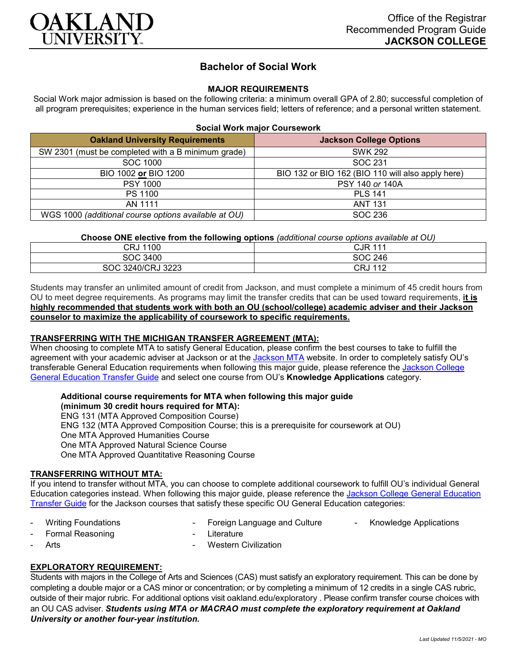

# **Bachelor of Social Work**

## **MAJOR REQUIREMENTS**

Social Work major admission is based on the following criteria: a minimum overall GPA of 2.80; successful completion of all program prerequisites; experience in the human services field; letters of reference; and a personal written statement.

### **Social Work major Coursework**

| <b>Oakland University Requirements</b>               | <b>Jackson College Options</b>                    |
|------------------------------------------------------|---------------------------------------------------|
| SW 2301 (must be completed with a B minimum grade)   | <b>SWK 292</b>                                    |
| SOC 1000                                             | SOC 231                                           |
| BIO 1002 or BIO 1200                                 | BIO 132 or BIO 162 (BIO 110 will also apply here) |
| <b>PSY 1000</b>                                      | PSY 140 or 140A                                   |
| PS 1100                                              | <b>PLS 141</b>                                    |
| AN 1111                                              | <b>ANT 131</b>                                    |
| WGS 1000 (additional course options available at OU) | SOC 236                                           |

**Choose ONE elective from the following options** *(additional course options available at OU)*

| 1100<br>CRJ       | <b>CJR 111</b>         |
|-------------------|------------------------|
| SOC 3400          | SOC 246                |
| SOC 3240/CRJ 3223 | <b>CRJ 112</b><br>11 L |

Students may transfer an unlimited amount of credit from Jackson, and must complete a minimum of 45 credit hours from OU to meet degree requirements. As programs may limit the transfer credits that can be used toward requirements, **it is highly recommended that students work with both an OU (school/college) academic adviser and their Jackson counselor to maximize the applicability of coursework to specific requirements.**

## **TRANSFERRING WITH THE MICHIGAN TRANSFER AGREEMENT (MTA):**

When choosing to complete MTA to satisfy General Education, please confirm the best courses to take to fulfill the agreement with your academic adviser at Jackson or at the [Jackson MTA](https://www.jccmi.edu/transfer/michigan-transfer-agreement/) website. In order to completely satisfy OU's transferable General Education requirements when following this major guide, please reference the [Jackson College](https://www.oakland.edu/Assets/Oakland/program-guides/jackson-college/university-general-education-requirements/Jackson%20Gen%20Ed.pdf)  [General Education Transfer Guide](https://www.oakland.edu/Assets/Oakland/program-guides/jackson-college/university-general-education-requirements/Jackson%20Gen%20Ed.pdf) and select one course from OU's **Knowledge Applications** category.

#### **Additional course requirements for MTA when following this major guide**

**(minimum 30 credit hours required for MTA):** ENG 131 (MTA Approved Composition Course) ENG 132 (MTA Approved Composition Course; this is a prerequisite for coursework at OU) One MTA Approved Humanities Course One MTA Approved Natural Science Course One MTA Approved Quantitative Reasoning Course

## **TRANSFERRING WITHOUT MTA:**

If you intend to transfer without MTA, you can choose to complete additional coursework to fulfill OU's individual General Education categories instead. When following this major guide, please reference the [Jackson College General Education](https://www.oakland.edu/Assets/Oakland/program-guides/jackson-college/university-general-education-requirements/Jackson%20Gen%20Ed.pdf)  [Transfer Guide](https://www.oakland.edu/Assets/Oakland/program-guides/jackson-college/university-general-education-requirements/Jackson%20Gen%20Ed.pdf) for the Jackson courses that satisfy these specific OU General Education categories:

- Writing Foundations

- Foreign Language and Culture - Knowledge Applications

- Formal Reasoning
- **Literature**

Arts

- Western Civilization
- **EXPLORATORY REQUIREMENT:**

Students with majors in the College of Arts and Sciences (CAS) must satisfy an exploratory requirement. This can be done by completing a double major or a CAS minor or concentration; or by completing a minimum of 12 credits in a single CAS rubric, outside of their major rubric. For additional options visit [oakland.edu/exploratory](http://www.oakland.edu/exploratory) . Please confirm transfer course choices with an OU CAS adviser. *Students using MTA or MACRAO must complete the exploratory requirement at Oakland University or another four-year institution.*